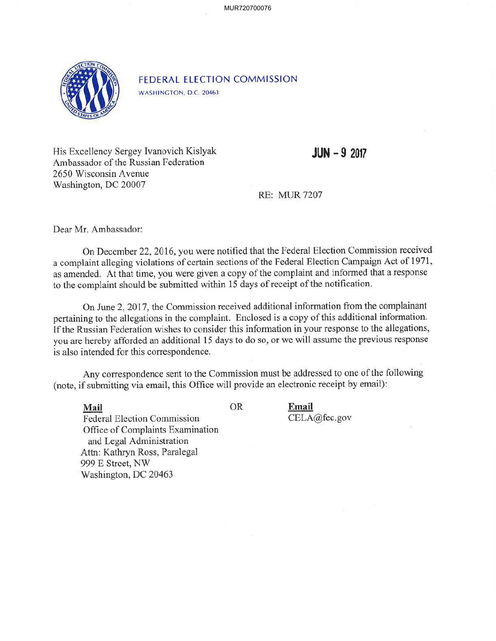MUR720700076



FEDERAL ELECTION COMMISSION

WASHINGTON, D.C. 20463

His Excellency Sergey Ivanovich Kislyak Ambassador of the Russian Federation 2650 Wisconsin A venue Washington, DC 20007

**JUN -9 2017** 

**RE: MUR7207** 

Dear Mr. Ambassador:

On December 22, 2016, you were notified that the Federal Election Commission received a complaint alleging violations of certain sections of the Federal Election Campaign Act of 1971, as amended. At that time, you were given a copy of the complaint and informed that a response to the complaint should be submitted within 15 days of receipt of the notification.

On June 2, 20 17, the Commission received additional information from the complainant pertaining to the allegations in the complaint. Enclosed is a copy of this additional information. If the Russian Federation wishes to consider this information in your response to the allegations, you are hereby afforded an additional 15 days to do so, or we will assume the previous response is also intended for this correspondence.

Any correspondence sent to the Commission must be addressed to one of the following (note, if submitting via email, this Office will provide an electronic receipt by email):

**Mail** OR

**Email**  CELA@fec.gov

Federal Election Commission Office of Complaints Examination and Legal Administration Attn: Kathryn Ross, Paralegal 999 E Street, NW Washington, DC 20463